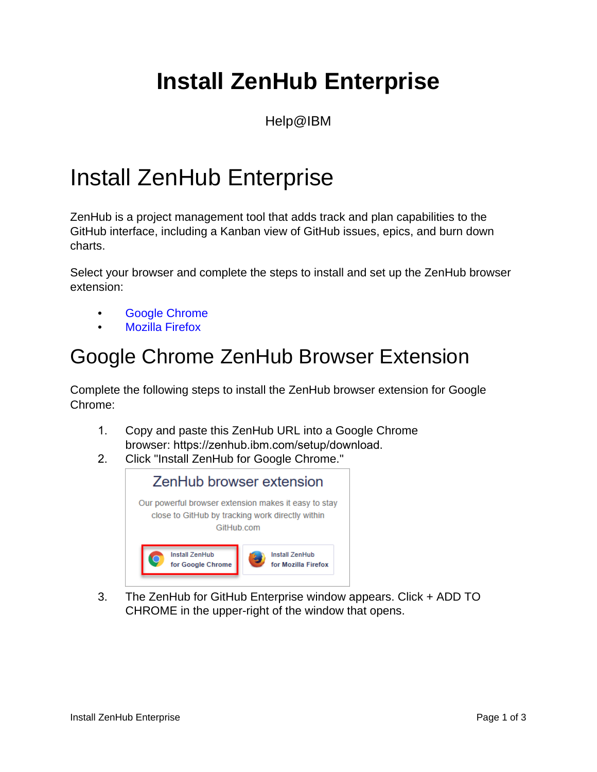## **Install ZenHub Enterprise**

Help@IBM

## Install ZenHub Enterprise

ZenHub is a project management tool that adds track and plan capabilities to the GitHub interface, including a Kanban view of GitHub issues, epics, and burn down charts.

Select your browser and complete the steps to install and set up the ZenHub browser extension:

- Google Chrome
- Mozilla Firefox

## Google Chrome ZenHub Browser Extension

Complete the following steps to install the ZenHub browser extension for Google Chrome:

- 1. Copy and paste this ZenHub URL into a Google Chrome browser: https://zenhub.ibm.com/setup/download.
- 2. Click "Install ZenHub for Google Chrome."



3. The ZenHub for GitHub Enterprise window appears. Click + ADD TO CHROME in the upper-right of the window that opens.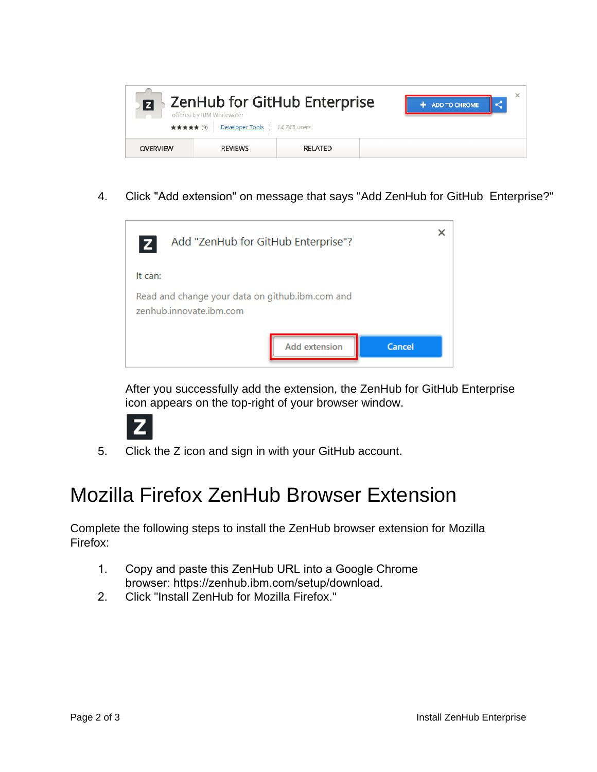

4. Click "Add extension" on message that says "Add ZenHub for GitHub Enterprise?"



After you successfully add the extension, the ZenHub for GitHub Enterprise icon appears on the top-right of your browser window.



5. Click the Z icon and sign in with your GitHub account.

## Mozilla Firefox ZenHub Browser Extension

Complete the following steps to install the ZenHub browser extension for Mozilla Firefox:

- 1. Copy and paste this ZenHub URL into a Google Chrome browser: https://zenhub.ibm.com/setup/download.
- 2. Click "Install ZenHub for Mozilla Firefox."